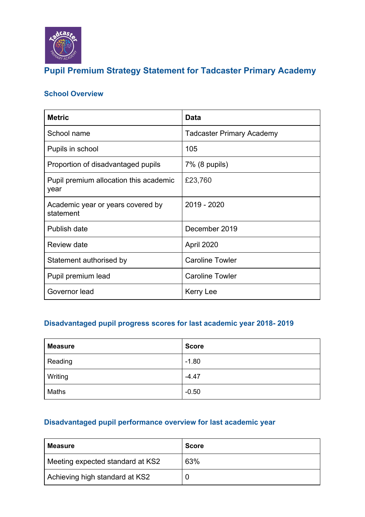

## **Pupil Premium Strategy Statement for Tadcaster Primary Academy**

### **School Overview**

| <b>Metric</b>                                  | Data                      |
|------------------------------------------------|---------------------------|
| School name                                    | Tadcaster Primary Academy |
| Pupils in school                               | 105                       |
| Proportion of disadvantaged pupils             | 7% (8 pupils)             |
| Pupil premium allocation this academic<br>year | £23,760                   |
| Academic year or years covered by<br>statement | 2019 - 2020               |
| Publish date                                   | December 2019             |
| Review date                                    | April 2020                |
| Statement authorised by                        | <b>Caroline Towler</b>    |
| Pupil premium lead                             | <b>Caroline Towler</b>    |
| Governor lead                                  | Kerry Lee                 |

#### **Disadvantaged pupil progress scores for last academic year 2018- 2019**

| <b>Measure</b> | <b>Score</b> |
|----------------|--------------|
| Reading        | $-1.80$      |
| Writing        | $-4.47$      |
| Maths          | $-0.50$      |

#### **Disadvantaged pupil performance overview for last academic year**

| Measure                          | <b>Score</b> |
|----------------------------------|--------------|
| Meeting expected standard at KS2 | 63%          |
| Achieving high standard at KS2   |              |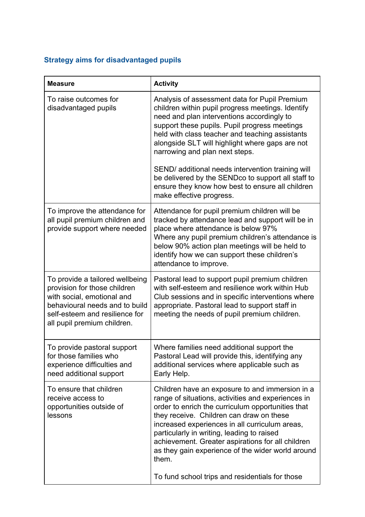### **Strategy aims for disadvantaged pupils**

| <b>Measure</b>                                                                                                                                                                                   | <b>Activity</b>                                                                                                                                                                                                                                                                                                                                                                                                           |
|--------------------------------------------------------------------------------------------------------------------------------------------------------------------------------------------------|---------------------------------------------------------------------------------------------------------------------------------------------------------------------------------------------------------------------------------------------------------------------------------------------------------------------------------------------------------------------------------------------------------------------------|
| To raise outcomes for<br>disadvantaged pupils                                                                                                                                                    | Analysis of assessment data for Pupil Premium<br>children within pupil progress meetings. Identify<br>need and plan interventions accordingly to<br>support these pupils. Pupil progress meetings<br>held with class teacher and teaching assistants<br>alongside SLT will highlight where gaps are not<br>narrowing and plan next steps.                                                                                 |
|                                                                                                                                                                                                  | SEND/ additional needs intervention training will<br>be delivered by the SENDco to support all staff to<br>ensure they know how best to ensure all children<br>make effective progress.                                                                                                                                                                                                                                   |
| To improve the attendance for<br>all pupil premium children and<br>provide support where needed                                                                                                  | Attendance for pupil premium children will be<br>tracked by attendance lead and support will be in<br>place where attendance is below 97%<br>Where any pupil premium children's attendance is<br>below 90% action plan meetings will be held to<br>identify how we can support these children's<br>attendance to improve.                                                                                                 |
| To provide a tailored wellbeing<br>provision for those children<br>with social, emotional and<br>behavioural needs and to build<br>self-esteem and resilience for<br>all pupil premium children. | Pastoral lead to support pupil premium children<br>with self-esteem and resilience work within Hub<br>Club sessions and in specific interventions where<br>appropriate. Pastoral lead to support staff in<br>meeting the needs of pupil premium children.                                                                                                                                                                 |
| To provide pastoral support<br>for those families who<br>experience difficulties and<br>need additional support                                                                                  | Where families need additional support the<br>Pastoral Lead will provide this, identifying any<br>additional services where applicable such as<br>Early Help.                                                                                                                                                                                                                                                             |
| To ensure that children<br>receive access to<br>opportunities outside of<br>lessons                                                                                                              | Children have an exposure to and immersion in a<br>range of situations, activities and experiences in<br>order to enrich the curriculum opportunities that<br>they receive. Children can draw on these<br>increased experiences in all curriculum areas,<br>particularly in writing, leading to raised<br>achievement. Greater aspirations for all children<br>as they gain experience of the wider world around<br>them. |
|                                                                                                                                                                                                  | To fund school trips and residentials for those                                                                                                                                                                                                                                                                                                                                                                           |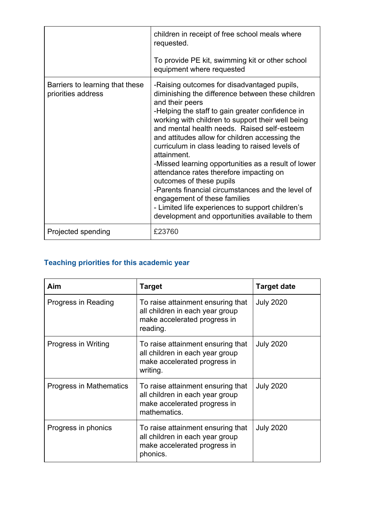|                                                       | children in receipt of free school meals where<br>requested.<br>To provide PE kit, swimming kit or other school<br>equipment where requested                                                                                                                                                                                                                                                                                                                                                                                                                                                                                                                                                                              |
|-------------------------------------------------------|---------------------------------------------------------------------------------------------------------------------------------------------------------------------------------------------------------------------------------------------------------------------------------------------------------------------------------------------------------------------------------------------------------------------------------------------------------------------------------------------------------------------------------------------------------------------------------------------------------------------------------------------------------------------------------------------------------------------------|
| Barriers to learning that these<br>priorities address | -Raising outcomes for disadvantaged pupils,<br>diminishing the difference between these children<br>and their peers<br>-Helping the staff to gain greater confidence in<br>working with children to support their well being<br>and mental health needs. Raised self-esteem<br>and attitudes allow for children accessing the<br>curriculum in class leading to raised levels of<br>attainment.<br>-Missed learning opportunities as a result of lower<br>attendance rates therefore impacting on<br>outcomes of these pupils<br>-Parents financial circumstances and the level of<br>engagement of these families<br>- Limited life experiences to support children's<br>development and opportunities available to them |
| Projected spending                                    | £23760                                                                                                                                                                                                                                                                                                                                                                                                                                                                                                                                                                                                                                                                                                                    |

## **Teaching priorities for this academic year**

| Aim                     | Target                                                                                                               | <b>Target date</b> |
|-------------------------|----------------------------------------------------------------------------------------------------------------------|--------------------|
| Progress in Reading     | To raise attainment ensuring that<br>all children in each year group<br>make accelerated progress in<br>reading.     | <b>July 2020</b>   |
| Progress in Writing     | To raise attainment ensuring that<br>all children in each year group<br>make accelerated progress in<br>writing.     | <b>July 2020</b>   |
| Progress in Mathematics | To raise attainment ensuring that<br>all children in each year group<br>make accelerated progress in<br>mathematics. | <b>July 2020</b>   |
| Progress in phonics     | To raise attainment ensuring that<br>all children in each year group<br>make accelerated progress in<br>phonics.     | <b>July 2020</b>   |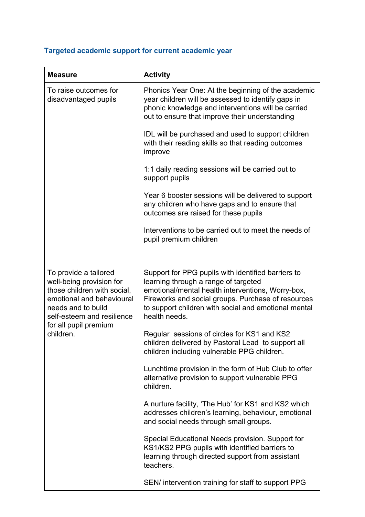## **Targeted academic support for current academic year**

| <b>Measure</b>                                                                                                                                                                                          | <b>Activity</b>                                                                                                                                                                                                                                                                                                                                                                                                                                                                                                                                                                                                                                                                                                                                                                                                                                                                                                                                  |
|---------------------------------------------------------------------------------------------------------------------------------------------------------------------------------------------------------|--------------------------------------------------------------------------------------------------------------------------------------------------------------------------------------------------------------------------------------------------------------------------------------------------------------------------------------------------------------------------------------------------------------------------------------------------------------------------------------------------------------------------------------------------------------------------------------------------------------------------------------------------------------------------------------------------------------------------------------------------------------------------------------------------------------------------------------------------------------------------------------------------------------------------------------------------|
| To raise outcomes for<br>disadvantaged pupils                                                                                                                                                           | Phonics Year One: At the beginning of the academic<br>year children will be assessed to identify gaps in<br>phonic knowledge and interventions will be carried<br>out to ensure that improve their understanding                                                                                                                                                                                                                                                                                                                                                                                                                                                                                                                                                                                                                                                                                                                                 |
|                                                                                                                                                                                                         | IDL will be purchased and used to support children<br>with their reading skills so that reading outcomes<br>improve                                                                                                                                                                                                                                                                                                                                                                                                                                                                                                                                                                                                                                                                                                                                                                                                                              |
|                                                                                                                                                                                                         | 1:1 daily reading sessions will be carried out to<br>support pupils                                                                                                                                                                                                                                                                                                                                                                                                                                                                                                                                                                                                                                                                                                                                                                                                                                                                              |
|                                                                                                                                                                                                         | Year 6 booster sessions will be delivered to support<br>any children who have gaps and to ensure that<br>outcomes are raised for these pupils                                                                                                                                                                                                                                                                                                                                                                                                                                                                                                                                                                                                                                                                                                                                                                                                    |
|                                                                                                                                                                                                         | Interventions to be carried out to meet the needs of<br>pupil premium children                                                                                                                                                                                                                                                                                                                                                                                                                                                                                                                                                                                                                                                                                                                                                                                                                                                                   |
| To provide a tailored<br>well-being provision for<br>those children with social,<br>emotional and behavioural<br>needs and to build<br>self-esteem and resilience<br>for all pupil premium<br>children. | Support for PPG pupils with identified barriers to<br>learning through a range of targeted<br>emotional/mental health interventions, Worry-box,<br>Fireworks and social groups. Purchase of resources<br>to support children with social and emotional mental<br>health needs.<br>Regular sessions of circles for KS1 and KS2<br>children delivered by Pastoral Lead to support all<br>children including vulnerable PPG children.<br>Lunchtime provision in the form of Hub Club to offer<br>alternative provision to support vulnerable PPG<br>children.<br>A nurture facility, 'The Hub' for KS1 and KS2 which<br>addresses children's learning, behaviour, emotional<br>and social needs through small groups.<br>Special Educational Needs provision. Support for<br>KS1/KS2 PPG pupils with identified barriers to<br>learning through directed support from assistant<br>teachers.<br>SEN/ intervention training for staff to support PPG |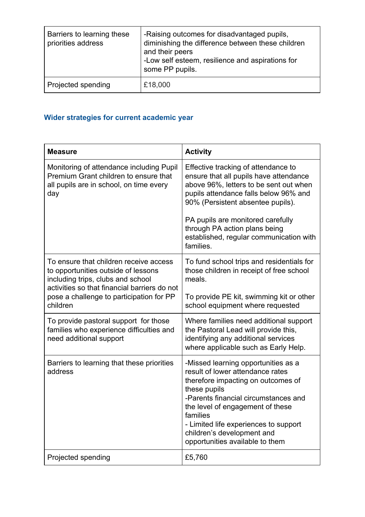| Barriers to learning these<br>priorities address | -Raising outcomes for disadvantaged pupils,<br>diminishing the difference between these children<br>and their peers<br>-Low self esteem, resilience and aspirations for<br>some PP pupils. |
|--------------------------------------------------|--------------------------------------------------------------------------------------------------------------------------------------------------------------------------------------------|
| Projected spending                               | £18,000                                                                                                                                                                                    |

# **Wider strategies for current academic year**

| <b>Measure</b>                                                                                                                                                     | <b>Activity</b>                                                                                                                                                                                                                                                                                                                 |
|--------------------------------------------------------------------------------------------------------------------------------------------------------------------|---------------------------------------------------------------------------------------------------------------------------------------------------------------------------------------------------------------------------------------------------------------------------------------------------------------------------------|
| Monitoring of attendance including Pupil<br>Premium Grant children to ensure that<br>all pupils are in school, on time every<br>day                                | Effective tracking of attendance to<br>ensure that all pupils have attendance<br>above 96%, letters to be sent out when<br>pupils attendance falls below 96% and<br>90% (Persistent absentee pupils).                                                                                                                           |
|                                                                                                                                                                    | PA pupils are monitored carefully<br>through PA action plans being<br>established, regular communication with<br>families.                                                                                                                                                                                                      |
| To ensure that children receive access<br>to opportunities outside of lessons<br>including trips, clubs and school<br>activities so that financial barriers do not | To fund school trips and residentials for<br>those children in receipt of free school<br>meals.                                                                                                                                                                                                                                 |
| pose a challenge to participation for PP<br>children                                                                                                               | To provide PE kit, swimming kit or other<br>school equipment where requested                                                                                                                                                                                                                                                    |
| To provide pastoral support for those<br>families who experience difficulties and<br>need additional support                                                       | Where families need additional support<br>the Pastoral Lead will provide this,<br>identifying any additional services<br>where applicable such as Early Help.                                                                                                                                                                   |
| Barriers to learning that these priorities<br>address                                                                                                              | -Missed learning opportunities as a<br>result of lower attendance rates<br>therefore impacting on outcomes of<br>these pupils<br>-Parents financial circumstances and<br>the level of engagement of these<br>families<br>- Limited life experiences to support<br>children's development and<br>opportunities available to them |
| Projected spending                                                                                                                                                 | £5,760                                                                                                                                                                                                                                                                                                                          |